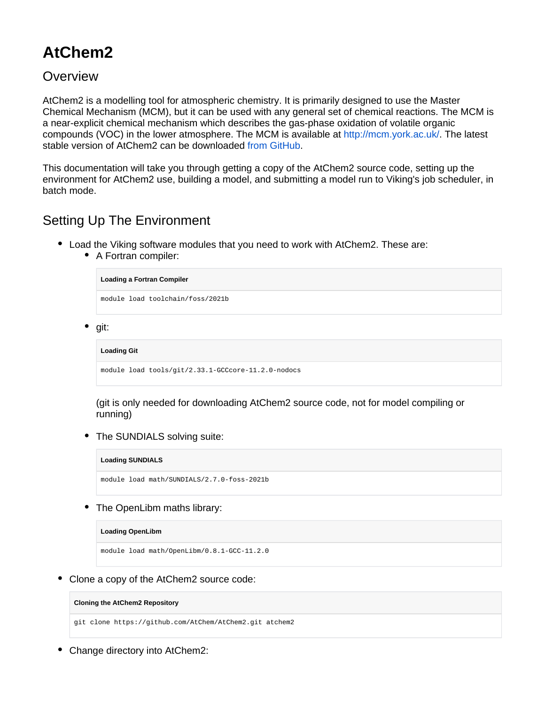# **AtChem2**

### **Overview**

AtChem2 is a modelling tool for atmospheric chemistry. It is primarily designed to use the Master Chemical Mechanism (MCM), but it can be used with any general set of chemical reactions. The MCM is a near-explicit chemical mechanism which describes the gas-phase oxidation of volatile organic compounds (VOC) in the lower atmosphere. The MCM is available at [http://mcm.york.ac.uk/.](http://mcm.york.ac.uk/) The latest stable version of AtChem2 can be downloaded [from GitHub.](https://github.com/AtChem/AtChem2/releases)

This documentation will take you through getting a copy of the AtChem2 source code, setting up the environment for AtChem2 use, building a model, and submitting a model run to Viking's job scheduler, in batch mode.

## Setting Up The Environment

- Load the Viking software modules that you need to work with AtChem2. These are:
	- A Fortran compiler:

```
Loading a Fortran Compiler
```
module load toolchain/foss/2021b

• git:

**Loading Git**

module load tools/git/2.33.1-GCCcore-11.2.0-nodocs

(git is only needed for downloading AtChem2 source code, not for model compiling or running)

The SUNDIALS solving suite:

**Loading SUNDIALS**

module load math/SUNDIALS/2.7.0-foss-2021b

• The OpenLibm maths library:

**Loading OpenLibm**

module load math/OpenLibm/0.8.1-GCC-11.2.0

Clone a copy of the AtChem2 source code:

**Cloning the AtChem2 Repository**

git clone https://github.com/AtChem/AtChem2.git atchem2

• Change directory into AtChem2: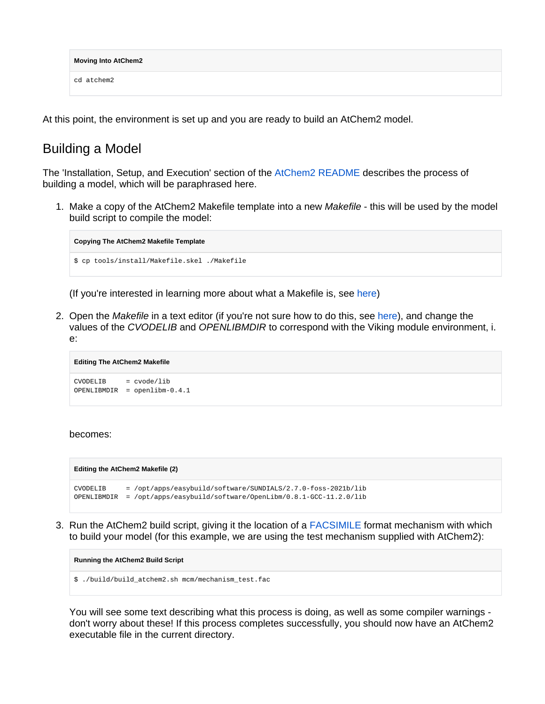| <b>Moving Into AtChem2</b> |  |
|----------------------------|--|
| cd atchem2                 |  |

At this point, the environment is set up and you are ready to build an AtChem2 model.

### Building a Model

The 'Installation, Setup, and Execution' section of the [AtChem2 README](https://github.com/AtChem/AtChem2/blob/master/README.md) describes the process of building a model, which will be paraphrased here.

1. Make a copy of the AtChem2 Makefile template into a new Makefile - this will be used by the model build script to compile the model:

```
Copying The AtChem2 Makefile Template
$ cp tools/install/Makefile.skel ./Makefile
```
(If you're interested in learning more about what a Makefile is, see [here](https://www.gnu.org/software/make/))

2. Open the *Makefile* in a text editor (if you're not sure how to do this, see [here\)](https://swcarpentry.github.io/shell-novice/03-create/index.html#create-a-text-file), and change the values of the CVODELIB and OPENLIBMDIR to correspond with the Viking module environment, i. e:

```
Editing The AtChem2 Makefile
CVODELIB = cvode/lib
OPENLIBMDIR = openlibm-0.4.1
```
### becomes:



3. Run the AtChem2 build script, giving it the location of a [FACSIMILE](https://www.mcpa-software.com/) format mechanism with which to build your model (for this example, we are using the test mechanism supplied with AtChem2):

**Running the AtChem2 Build Script**

\$ ./build/build\_atchem2.sh mcm/mechanism\_test.fac

You will see some text describing what this process is doing, as well as some compiler warnings don't worry about these! If this process completes successfully, you should now have an AtChem2 executable file in the current directory.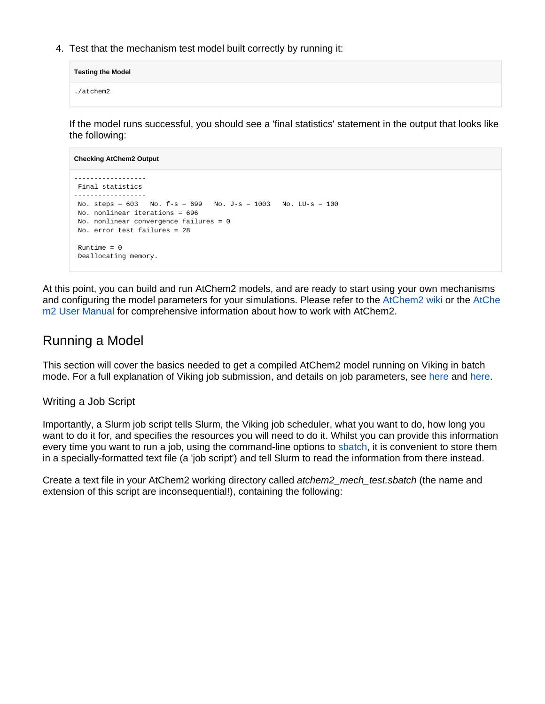4. Test that the mechanism test model built correctly by running it:

**Testing the Model** ./atchem2

If the model runs successful, you should see a 'final statistics' statement in the output that looks like the following:

```
Checking AtChem2 Output
------------------
 Final statistics
------------------
 No. steps = 603 No. f-s = 699 No. J-s = 1003 No. LU-s = 100
 No. nonlinear iterations = 696
 No. nonlinear convergence failures = 0
 No. error test failures = 28
Runtime = 0 Deallocating memory.
```
At this point, you can build and run AtChem2 models, and are ready to start using your own mechanisms and configuring the model parameters for your simulations. Please refer to the [AtChem2 wiki](https://github.com/AtChem/AtChem2/wiki/How-to-run-AtChem2) or the [AtChe](https://raw.githubusercontent.com/AtChem/AtChem2/master/doc/AtChem2-Manual.pdf) [m2 User Manual](https://raw.githubusercontent.com/AtChem/AtChem2/master/doc/AtChem2-Manual.pdf) for comprehensive information about how to work with AtChem2.

## Running a Model

This section will cover the basics needed to get a compiled AtChem2 model running on Viking in batch mode. For a full explanation of Viking job submission, and details on job parameters, see [here](https://wiki.york.ac.uk/x/YZT1C) and [here.](https://wiki.york.ac.uk/x/YpT1C)

### Writing a Job Script

Importantly, a Slurm job script tells Slurm, the Viking job scheduler, what you want to do, how long you want to do it for, and specifies the resources you will need to do it. Whilst you can provide this information every time you want to run a job, using the command-line options to [sbatch,](https://slurm.schedmd.com/sbatch.html) it is convenient to store them in a specially-formatted text file (a 'job script') and tell Slurm to read the information from there instead.

Create a text file in your AtChem2 working directory called atchem2\_mech\_test.sbatch (the name and extension of this script are inconsequential!), containing the following: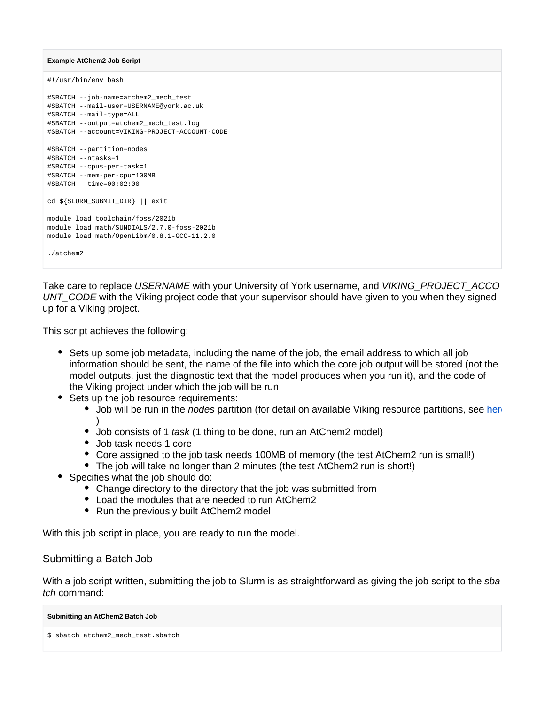#### **Example AtChem2 Job Script**

```
#!/usr/bin/env bash
#SBATCH --job-name=atchem2_mech_test
#SBATCH --mail-user=USERNAME@york.ac.uk
#SBATCH --mail-type=ALL
#SBATCH --output=atchem2_mech_test.log
#SBATCH --account=VIKING-PROJECT-ACCOUNT-CODE
#SBATCH --partition=nodes
#SBATCH --ntasks=1
#SBATCH --cpus-per-task=1
#SBATCH --mem-per-cpu=100MB
#SBATCH --time=00:02:00
cd ${SLURM_SUBMIT_DIR} || exit
module load toolchain/foss/2021b
module load math/SUNDIALS/2.7.0-foss-2021b
module load math/OpenLibm/0.8.1-GCC-11.2.0
./atchem2
```
Take care to replace USERNAME with your University of York username, and VIKING PROJECT ACCO UNT\_CODE with the Viking project code that your supervisor should have given to you when they signed up for a Viking project.

This script achieves the following:

- Sets up some job metadata, including the name of the job, the email address to which all job information should be sent, the name of the file into which the core job output will be stored (not the model outputs, just the diagnostic text that the model produces when you run it), and the code of the Viking project under which the job will be run
- Sets up the job resource requirements:
	- Job will be run in the *nodes* partition (for detail on available Viking resource partitions, see [here](https://wiki.york.ac.uk/x/xQjrCQ) )
	- Job consists of 1 task (1 thing to be done, run an AtChem2 model)
	- Job task needs 1 core
	- Core assigned to the job task needs 100MB of memory (the test AtChem2 run is small!)
	- The job will take no longer than 2 minutes (the test AtChem2 run is short!)
- Specifies what the job should do:
	- Change directory to the directory that the job was submitted from
	- Load the modules that are needed to run AtChem2
	- Run the previously built AtChem2 model

With this job script in place, you are ready to run the model.

### Submitting a Batch Job

With a job script written, submitting the job to Slurm is as straightforward as giving the job script to the sba tch command:

#### **Submitting an AtChem2 Batch Job**

```
$ sbatch atchem2_mech_test.sbatch
```